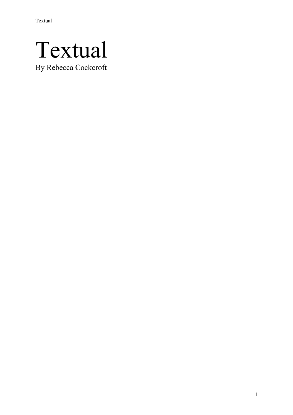# Textual

By Rebecca Cockcroft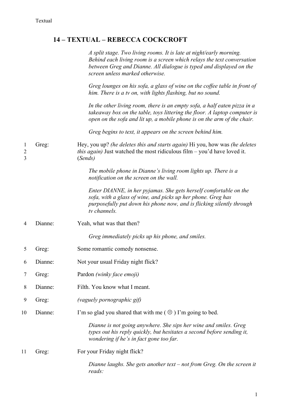# **14 – TEXTUAL – REBECCA COCKCROFT**

*A split stage. Two living rooms. It is late at night/early morning. Behind each living room is a screen which relays the text conversation between Greg and Dianne. All dialogue is typed and displayed on the screen unless marked otherwise.*

*Greg lounges on his sofa, a glass of wine on the coffee table in front of him. There is a tv on, with lights flashing, but no sound.* 

*In the other living room, there is an empty sofa, a half eaten pizza in a takeaway box on the table, toys littering the floor. A laptop computer is open on the sofa and lit up, a mobile phone is on the arm of the chair.*

*Greg begins to text, it appears on the screen behind him.*

1 Greg: Hey, you up? *(he deletes this and starts again)* Hi you, how was *(he deletes* 2 *this again)* Just watched the most ridiculous film – you'd have loved it. 3 (*Sends)*

> *The mobile phone in Dianne's living room lights up. There is a notification on the screen on the wall.*

*Enter DIANNE, in her pyjamas. She gets herself comfortable on the sofa, with a glass of wine, and picks up her phone. Greg has purposefully put down his phone now, and is flicking silently through tv channels.*

4 Dianne: Yeah, what was that then?

*Greg immediately picks up his phone, and smiles.*

- 5 Greg: Some romantic comedy nonsense.
- 6 Dianne: Not your usual Friday night flick?
- 7 Greg: Pardon *(winky face emoji)*
- 8 Dianne: Filth. You know what I meant.
- 9 Greg: *(vaguely pornographic gif)*
- 10 Dianne: I'm so glad you shared that with me  $(\Theta)$  I'm going to bed.

*Dianne is not going anywhere. She sips her wine and smiles. Greg types out his reply quickly, but hesitates a second before sending it, wondering if he's in fact gone too far.*

11 Greg: For your Friday night flick?

*Dianne laughs. She gets another text – not from Greg. On the screen it reads:*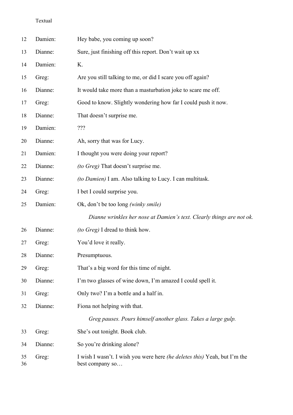| 12       | Damien: | Hey babe, you coming up soon?                                                                       |
|----------|---------|-----------------------------------------------------------------------------------------------------|
| 13       | Dianne: | Sure, just finishing off this report. Don't wait up xx                                              |
| 14       | Damien: | Κ.                                                                                                  |
| 15       | Greg:   | Are you still talking to me, or did I scare you off again?                                          |
| 16       | Dianne: | It would take more than a masturbation joke to scare me off.                                        |
| 17       | Greg:   | Good to know. Slightly wondering how far I could push it now.                                       |
| 18       | Dianne: | That doesn't surprise me.                                                                           |
| 19       | Damien: | ???                                                                                                 |
| 20       | Dianne: | Ah, sorry that was for Lucy.                                                                        |
| 21       | Damien: | I thought you were doing your report?                                                               |
| 22       | Dianne: | <i>(to Greg)</i> That doesn't surprise me.                                                          |
| 23       | Dianne: | (to Damien) I am. Also talking to Lucy. I can multitask.                                            |
| 24       | Greg:   | I bet I could surprise you.                                                                         |
| 25       | Damien: | Ok, don't be too long (winky smile)                                                                 |
|          |         | Dianne wrinkles her nose at Damien's text. Clearly things are not ok.                               |
| 26       | Dianne: | (to Greg) I dread to think how.                                                                     |
| 27       | Greg:   | You'd love it really.                                                                               |
| 28       | Dianne: | Presumptuous.                                                                                       |
| 29       | Greg:   | That's a big word for this time of night.                                                           |
| 30       | Dianne: | I'm two glasses of wine down, I'm amazed I could spell it.                                          |
| 31       | Greg:   | Only two? I'm a bottle and a half in.                                                               |
| 32       | Dianne: | Fiona not helping with that.                                                                        |
|          |         | Greg pauses. Pours himself another glass. Takes a large gulp.                                       |
| 33       | Greg:   | She's out tonight. Book club.                                                                       |
| 34       | Dianne: | So you're drinking alone?                                                                           |
| 35<br>36 | Greg:   | I wish I wasn't. I wish you were here <i>(he deletes this)</i> Yeah, but I'm the<br>best company so |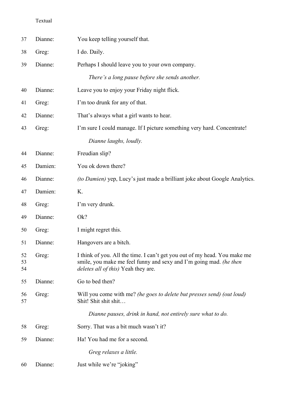| 37             | Dianne: | You keep telling yourself that.                                                                                                                                                                |
|----------------|---------|------------------------------------------------------------------------------------------------------------------------------------------------------------------------------------------------|
| 38             | Greg:   | I do. Daily.                                                                                                                                                                                   |
| 39             | Dianne: | Perhaps I should leave you to your own company.                                                                                                                                                |
|                |         | There's a long pause before she sends another.                                                                                                                                                 |
| 40             | Dianne: | Leave you to enjoy your Friday night flick.                                                                                                                                                    |
| 41             | Greg:   | I'm too drunk for any of that.                                                                                                                                                                 |
| 42             | Dianne: | That's always what a girl wants to hear.                                                                                                                                                       |
| 43             | Greg:   | I'm sure I could manage. If I picture something very hard. Concentrate!                                                                                                                        |
|                |         | Dianne laughs, loudly.                                                                                                                                                                         |
| 44             | Dianne: | Freudian slip?                                                                                                                                                                                 |
| 45             | Damien: | You ok down there?                                                                                                                                                                             |
| 46             | Dianne: | <i>(to Damien)</i> yep, Lucy's just made a brilliant joke about Google Analytics.                                                                                                              |
| 47             | Damien: | K.                                                                                                                                                                                             |
| 48             | Greg:   | I'm very drunk.                                                                                                                                                                                |
| 49             | Dianne: | Ok?                                                                                                                                                                                            |
| 50             | Greg:   | I might regret this.                                                                                                                                                                           |
| 51             | Dianne: | Hangovers are a bitch.                                                                                                                                                                         |
| 52<br>53<br>54 | Greg:   | I think of you. All the time. I can't get you out of my head. You make me<br>smile, you make me feel funny and sexy and I'm going mad. (he then<br><i>deletes all of this</i> ) Yeah they are. |
| 55             | Dianne: | Go to bed then?                                                                                                                                                                                |
| 56<br>57       | Greg:   | Will you come with me? (he goes to delete but presses send) (out loud)<br>Shit! Shit shit shit                                                                                                 |
|                |         | Dianne pauses, drink in hand, not entirely sure what to do.                                                                                                                                    |
| 58             | Greg:   | Sorry. That was a bit much wasn't it?                                                                                                                                                          |
| 59             | Dianne: | Ha! You had me for a second.                                                                                                                                                                   |
|                |         | Greg relaxes a little.                                                                                                                                                                         |
| 60             | Dianne: | Just while we're "joking"                                                                                                                                                                      |